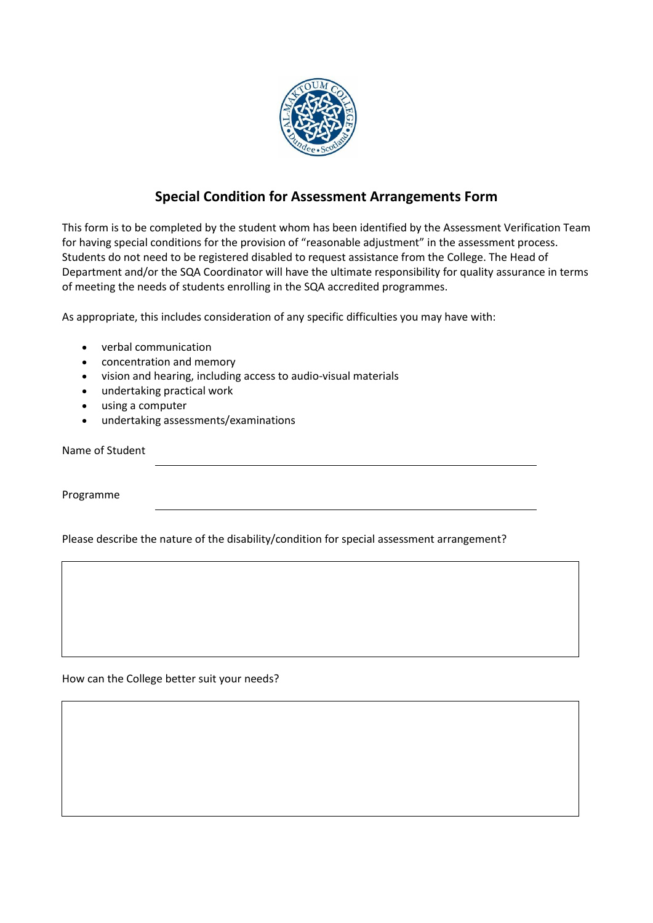

## **Special Condition for Assessment Arrangements Form**

This form is to be completed by the student whom has been identified by the Assessment Verification Team for having special conditions for the provision of "reasonable adjustment" in the assessment process. Students do not need to be registered disabled to request assistance from the College. The Head of Department and/or the SQA Coordinator will have the ultimate responsibility for quality assurance in terms of meeting the needs of students enrolling in the SQA accredited programmes.

As appropriate, this includes consideration of any specific difficulties you may have with:

- verbal communication
- concentration and memory
- vision and hearing, including access to audio-visual materials
- undertaking practical work
- using a computer
- undertaking assessments/examinations

Name of Student

Programme

Please describe the nature of the disability/condition for special assessment arrangement?

How can the College better suit your needs?